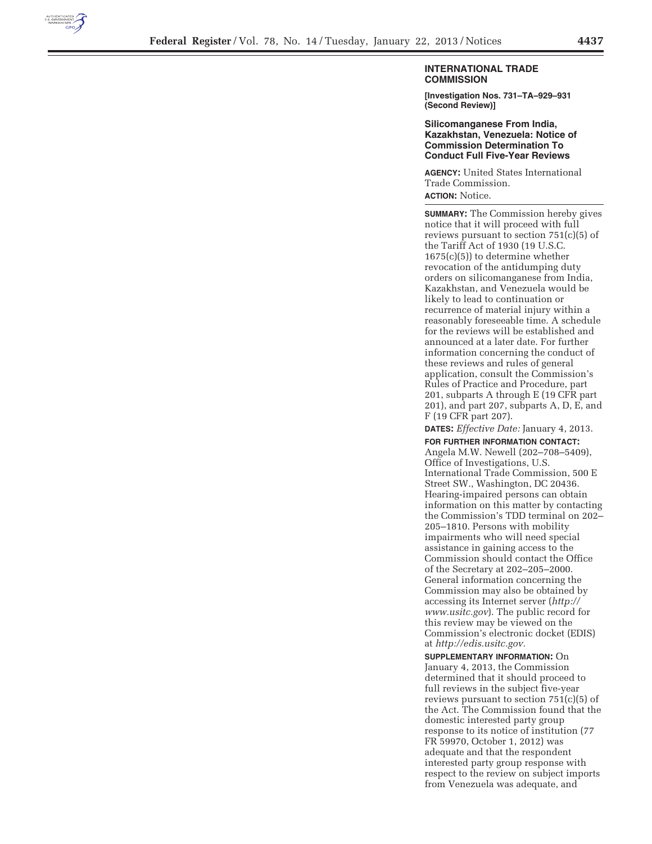

## **INTERNATIONAL TRADE COMMISSION**

**[Investigation Nos. 731–TA–929–931 (Second Review)]** 

**Silicomanganese From India, Kazakhstan, Venezuela: Notice of Commission Determination To Conduct Full Five-Year Reviews** 

**AGENCY:** United States International Trade Commission. **ACTION:** Notice.

**SUMMARY:** The Commission hereby gives notice that it will proceed with full reviews pursuant to section 751(c)(5) of the Tariff Act of 1930 (19 U.S.C. 1675(c)(5)) to determine whether revocation of the antidumping duty orders on silicomanganese from India, Kazakhstan, and Venezuela would be likely to lead to continuation or recurrence of material injury within a reasonably foreseeable time. A schedule for the reviews will be established and announced at a later date. For further information concerning the conduct of these reviews and rules of general application, consult the Commission's Rules of Practice and Procedure, part 201, subparts A through E (19 CFR part 201), and part 207, subparts A, D, E, and F (19 CFR part 207).

**DATES:** *Effective Date:* January 4, 2013. **FOR FURTHER INFORMATION CONTACT:** 

Angela M.W. Newell (202–708–5409), Office of Investigations, U.S. International Trade Commission, 500 E Street SW., Washington, DC 20436. Hearing-impaired persons can obtain information on this matter by contacting the Commission's TDD terminal on 202– 205–1810. Persons with mobility impairments who will need special assistance in gaining access to the Commission should contact the Office of the Secretary at 202–205–2000. General information concerning the Commission may also be obtained by accessing its Internet server (*http:// www.usitc.gov*). The public record for this review may be viewed on the Commission's electronic docket (EDIS) at *http://edis.usitc.gov.* 

**SUPPLEMENTARY INFORMATION:** On January 4, 2013, the Commission determined that it should proceed to full reviews in the subject five-year reviews pursuant to section 751(c)(5) of the Act. The Commission found that the domestic interested party group response to its notice of institution (77 FR 59970, October 1, 2012) was adequate and that the respondent interested party group response with respect to the review on subject imports from Venezuela was adequate, and